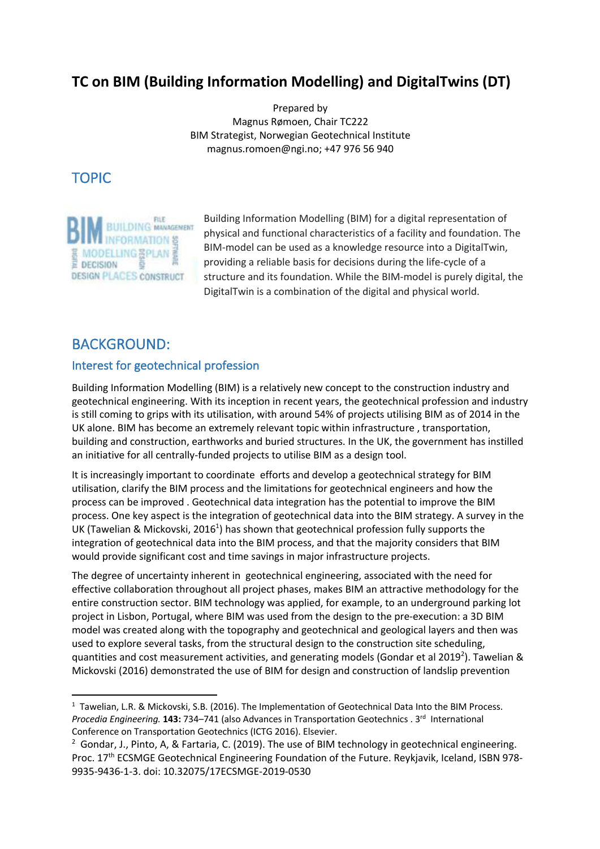# **TC on BIM (Building Information Modelling) and DigitalTwins (DT)**

Prepared by Magnus Rømoen, Chair TC222 BIM Strategist, Norwegian Geotechnical Institute magnus.romoen@ngi.no; +47 976 56 940

TOPIC



Building Information Modelling (BIM) for a digital representation of physical and functional characteristics of a facility and foundation. The BIM-model can be used as a knowledge resource into a DigitalTwin, providing a reliable basis for decisions during the life-cycle of a structure and its foundation. While the BIM-model is purely digital, the DigitalTwin is a combination of the digital and physical world.

## BACKGROUND:

## Interest for geotechnical profession

Building Information Modelling (BIM) is a relatively new concept to the construction industry and geotechnical engineering. With its inception in recent years, the geotechnical profession and industry is still coming to grips with its utilisation, with around 54% of projects utilising BIM as of 2014 in the UK alone. BIM has become an extremely relevant topic within infrastructure , transportation, building and construction, earthworks and buried structures. In the UK, the government has instilled an initiative for all centrally-funded projects to utilise BIM as a design tool.

It is increasingly important to coordinate efforts and develop a geotechnical strategy for BIM utilisation, clarify the BIM process and the limitations for geotechnical engineers and how the process can be improved . Geotechnical data integration has the potential to improve the BIM process. One key aspect is the integration of geotechnical data into the BIM strategy. A survey in the UK (Tawelian & Mickovski, 2016<sup>1</sup>) has shown that geotechnical profession fully supports the integration of geotechnical data into the BIM process, and that the majority considers that BIM would provide significant cost and time savings in major infrastructure projects.

The degree of uncertainty inherent in geotechnical engineering, associated with the need for effective collaboration throughout all project phases, makes BIM an attractive methodology for the entire construction sector. BIM technology was applied, for example, to an underground parking lot project in Lisbon, Portugal, where BIM was used from the design to the pre-execution: a 3D BIM model was created along with the topography and geotechnical and geological layers and then was used to explore several tasks, from the structural design to the construction site scheduling, quantities and cost measurement activities, and generating models (Gondar et al 2019<sup>2</sup>). Tawelian & Mickovski (2016) demonstrated the use of BIM for design and construction of landslip prevention

<sup>&</sup>lt;sup>1</sup> Tawelian, L.R. & Mickovski, S.B. (2016). The Implementation of Geotechnical Data Into the BIM Process. *Procedia Engineering.* **143:** 734–741 (also Advances in Transportation Geotechnics . 3rd International Conference on Transportation Geotechnics (ICTG 2016). Elsevier.

 $2$  Gondar, J., Pinto, A, & Fartaria, C. (2019). The use of BIM technology in geotechnical engineering. Proc. 17<sup>th</sup> ECSMGE Geotechnical Engineering Foundation of the Future. Reykjavik, Iceland, ISBN 978-9935-9436-1-3. doi: 10.32075/17ECSMGE-2019-0530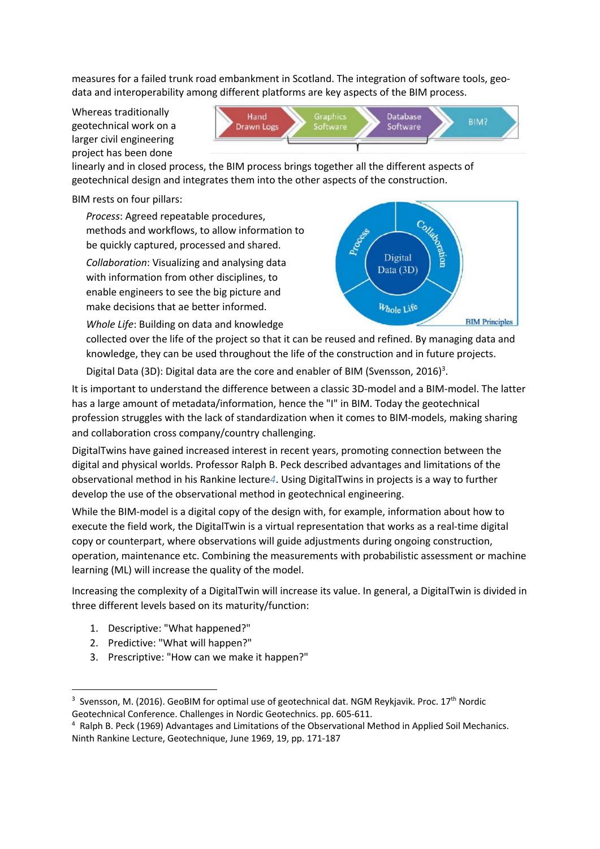measures for a failed trunk road embankment in Scotland. The integration of software tools, geodata and interoperability among different platforms are key aspects of the BIM process.

Whereas traditionally geotechnical work on a larger civil engineering project has been done



linearly and in closed process, the BIM process brings together all the different aspects of geotechnical design and integrates them into the other aspects of the construction.

BIM rests on four pillars:

*Process*: Agreed repeatable procedures, methods and workflows, to allow information to be quickly captured, processed and shared.

*Collaboration*: Visualizing and analysing data with information from other disciplines, to enable engineers to see the big picture and make decisions that ae better informed.

*Whole Life*: Building on data and knowledge



collected over the life of the project so that it can be reused and refined. By managing data and knowledge, they can be used throughout the life of the construction and in future projects.

Digital Data (3D): Digital data are the core and enabler of BIM (Svensson, 2016)<sup>3</sup>.

It is important to understand the difference between a classic 3D-model and a BIM-model. The latter has a large amount of metadata/information, hence the "I" in BIM. Today the geotechnical profession struggles with the lack of standardization when it comes to BIM-models, making sharing and collaboration cross company/country challenging.

DigitalTwins have gained increased interest in recent years, promoting connection between the digital and physical worlds. Professor Ralph B. Peck described advantages and limitations of the observational method in his Rankine lecture*4*. Using DigitalTwins in projects is a way to further develop the use of the observational method in geotechnical engineering.

While the BIM-model is a digital copy of the design with, for example, information about how to execute the field work, the DigitalTwin is a virtual representation that works as a real-time digital copy or counterpart, where observations will guide adjustments during ongoing construction, operation, maintenance etc. Combining the measurements with probabilistic assessment or machine learning (ML) will increase the quality of the model.

Increasing the complexity of a DigitalTwin will increase its value. In general, a DigitalTwin is divided in three different levels based on its maturity/function:

- 1. Descriptive: "What happened?"
- 2. Predictive: "What will happen?"
- 3. Prescriptive: "How can we make it happen?"

<sup>&</sup>lt;sup>3</sup> Svensson, M. (2016). GeoBIM for optimal use of geotechnical dat. NGM Reykjavik. Proc. 17<sup>th</sup> Nordic Geotechnical Conference. Challenges in Nordic Geotechnics. pp. 605-611.

<sup>4</sup> Ralph B. Peck (1969) Advantages and Limitations of the Observational Method in Applied Soil Mechanics. Ninth Rankine Lecture, Geotechnique, June 1969, 19, pp. 171-187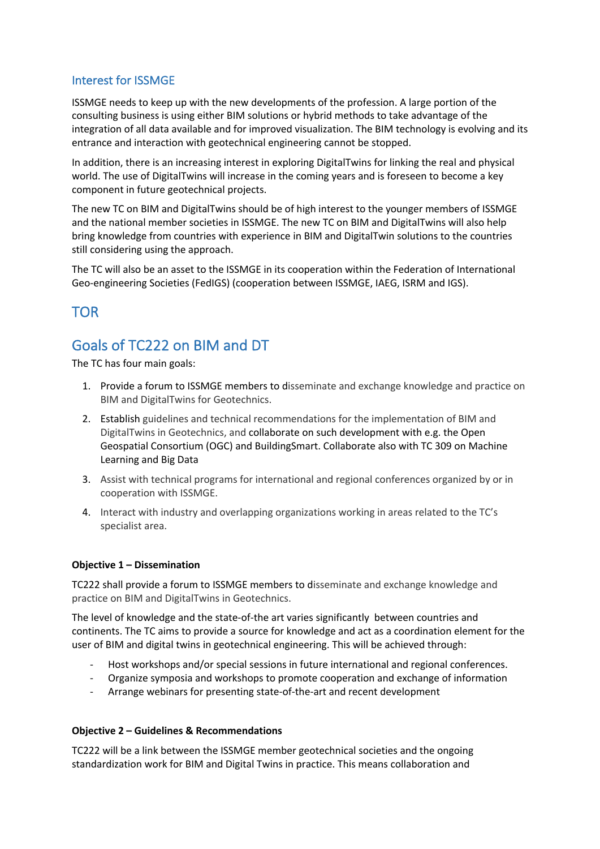## Interest for ISSMGE

ISSMGE needs to keep up with the new developments of the profession. A large portion of the consulting business is using either BIM solutions or hybrid methods to take advantage of the integration of all data available and for improved visualization. The BIM technology is evolving and its entrance and interaction with geotechnical engineering cannot be stopped.

In addition, there is an increasing interest in exploring DigitalTwins for linking the real and physical world. The use of DigitalTwins will increase in the coming years and is foreseen to become a key component in future geotechnical projects.

The new TC on BIM and DigitalTwins should be of high interest to the younger members of ISSMGE and the national member societies in ISSMGE. The new TC on BIM and DigitalTwins will also help bring knowledge from countries with experience in BIM and DigitalTwin solutions to the countries still considering using the approach.

The TC will also be an asset to the ISSMGE in its cooperation within the Federation of International Geo-engineering Societies (FedIGS) (cooperation between ISSMGE, IAEG, ISRM and IGS).

## TOR

# Goals of TC222 on BIM and DT

The TC has four main goals:

- 1. Provide a forum to ISSMGE members to disseminate and exchange knowledge and practice on BIM and DigitalTwins for Geotechnics.
- 2. Establish guidelines and technical recommendations for the implementation of BIM and DigitalTwins in Geotechnics, and collaborate on such development with e.g. the Open Geospatial Consortium (OGC) and BuildingSmart. Collaborate also with TC 309 on Machine Learning and Big Data
- 3. Assist with technical programs for international and regional conferences organized by or in cooperation with ISSMGE.
- 4. Interact with industry and overlapping organizations working in areas related to the TC's specialist area.

### **Objective 1 – Dissemination**

TC222 shall provide a forum to ISSMGE members to disseminate and exchange knowledge and practice on BIM and DigitalTwins in Geotechnics.

The level of knowledge and the state-of-the art varies significantly between countries and continents. The TC aims to provide a source for knowledge and act as a coordination element for the user of BIM and digital twins in geotechnical engineering. This will be achieved through:

- Host workshops and/or special sessions in future international and regional conferences.
- Organize symposia and workshops to promote cooperation and exchange of information
- Arrange webinars for presenting state-of-the-art and recent development

### **Objective 2 – Guidelines & Recommendations**

TC222 will be a link between the ISSMGE member geotechnical societies and the ongoing standardization work for BIM and Digital Twins in practice. This means collaboration and